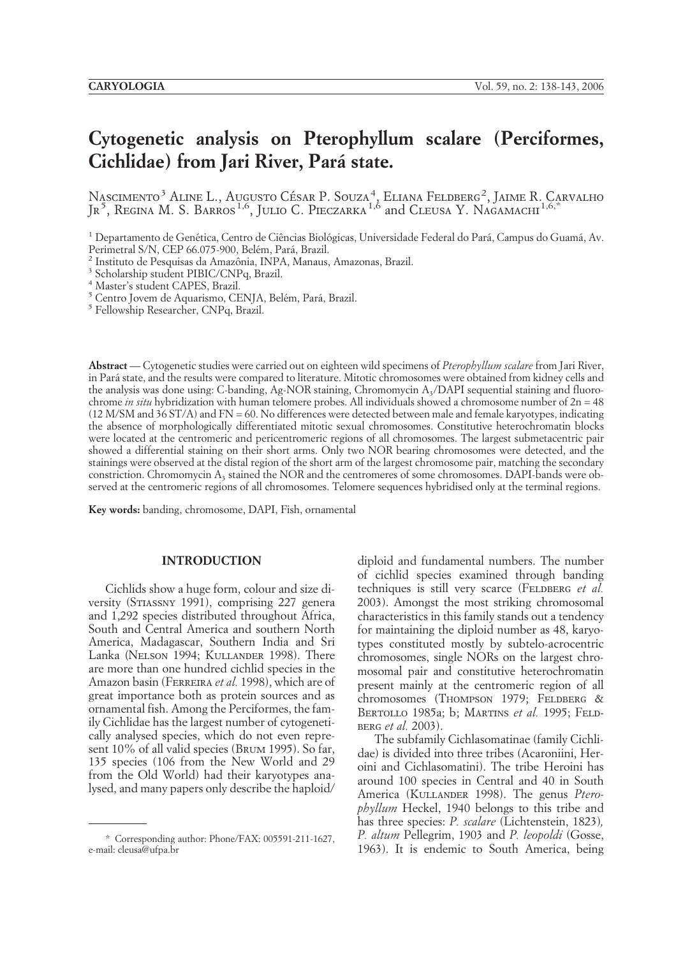# **Cytogenetic analysis on Pterophyllum scalare (Perciformes, Cichlidae) from Jari River, Para´ state.**

Nascimento<sup>3</sup> Aline L., Augusto César P. Souza<sup>4</sup>, Eliana Feldberg<sup>2</sup>, Jaime R. Carvalho JR<sup>5</sup>, REGINA M. S. BARROS<sup>1,6</sup>, JULIO C. PIECZARKA<sup>1,6</sup> and CLEUSA Y. NAGAMACHI<sup>1,6,\*</sup>

<sup>1</sup> Departamento de Genética, Centro de Ciências Biológicas, Universidade Federal do Pará, Campus do Guamá, Av.<br>Perimetral S/N, CEP 66.075-900, Belém, Pará, Brazil.

<sup>2</sup> Instituto de Pesquisas da Amazônia, INPA, Manaus, Amazonas, Brazil. <sup>3</sup> Scholarship student PIBIC/CNPq, Brazil.

<sup>4</sup> Master's student CAPES, Brazil.

 $^5$  Centro Jovem de Aquarismo, CENJA, Belém, Pará, Brazil.  $^5$  Fellowship Researcher, CNPq, Brazil.

**Abstract** — Cytogenetic studies were carried out on eighteen wild specimens of *Pterophyllum scalare* from Jari River, in Para´ state, and the results were compared to literature. Mitotic chromosomes were obtained from kidney cells and the analysis was done using: C-banding, Ag-NOR staining, Chromomycin A<sub>3</sub>/DAPI sequential staining and fluorochrome *in situ* hybridization with human telomere probes. All individuals showed a chromosome number of 2n = 48 (12 M/SM and 36 ST/A) and FN = 60. No differences were detected between male and female karyotypes, indicating the absence of morphologically differentiated mitotic sexual chromosomes. Constitutive heterochromatin blocks were located at the centromeric and pericentromeric regions of all chromosomes. The largest submetacentric pair showed a differential staining on their short arms. Only two NOR bearing chromosomes were detected, and the stainings were observed at the distal region of the short arm of the largest chromosome pair, matching the secondary constriction. Chromomycin  $A_3$  stained the NOR and the centromeres of some chromosomes. DAPI-bands were observed at the centromeric regions of all chromosomes. Telomere sequences hybridised only at the terminal regions.

**Key words:** banding, chromosome, DAPI, Fish, ornamental

## **INTRODUCTION**

Cichlids show a huge form, colour and size diversity (Stiassny 1991), comprising 227 genera and 1,292 species distributed throughout Africa, South and Central America and southern North America, Madagascar, Southern India and Sri Lanka (Nelson 1994; Kullander 1998). There are more than one hundred cichlid species in the Amazon basin (Ferreira *et al.* 1998), which are of great importance both as protein sources and as ornamental fish. Among the Perciformes, the family Cichlidae has the largest number of cytogenetically analysed species, which do not even represent 10% of all valid species (Brum 1995). So far, 135 species (106 from the New World and 29 from the Old World) had their karyotypes analysed, and many papers only describe the haploid/

diploid and fundamental numbers. The number of cichlid species examined through banding techniques is still very scarce (FELDBERG *et al.* 2003). Amongst the most striking chromosomal characteristics in this family stands out a tendency for maintaining the diploid number as 48, karyotypes constituted mostly by subtelo-acrocentric chromosomes, single NORs on the largest chromosomal pair and constitutive heterochromatin present mainly at the centromeric region of all chromosomes (THOMPSON 1979; FELDBERG & Bertollo 1985a; b; Martins *et al.* 1995; Feldberg *et al.* 2003).

The subfamily Cichlasomatinae (family Cichlidae) is divided into three tribes (Acaroniini, Heroini and Cichlasomatini). The tribe Heroini has around 100 species in Central and 40 in South America (KULLANDER 1998). The genus *Pterophyllum* Heckel, 1940 belongs to this tribe and has three species: *P. scalare* (Lichtenstein, 1823)*, P. altum* Pellegrim, 1903 and *P. leopoldi* (Gosse, 1963). It is endemic to South America, being \* Corresponding author: Phone/FAX: 005591-211-1627,

e-mail: cleusa@ufpa.br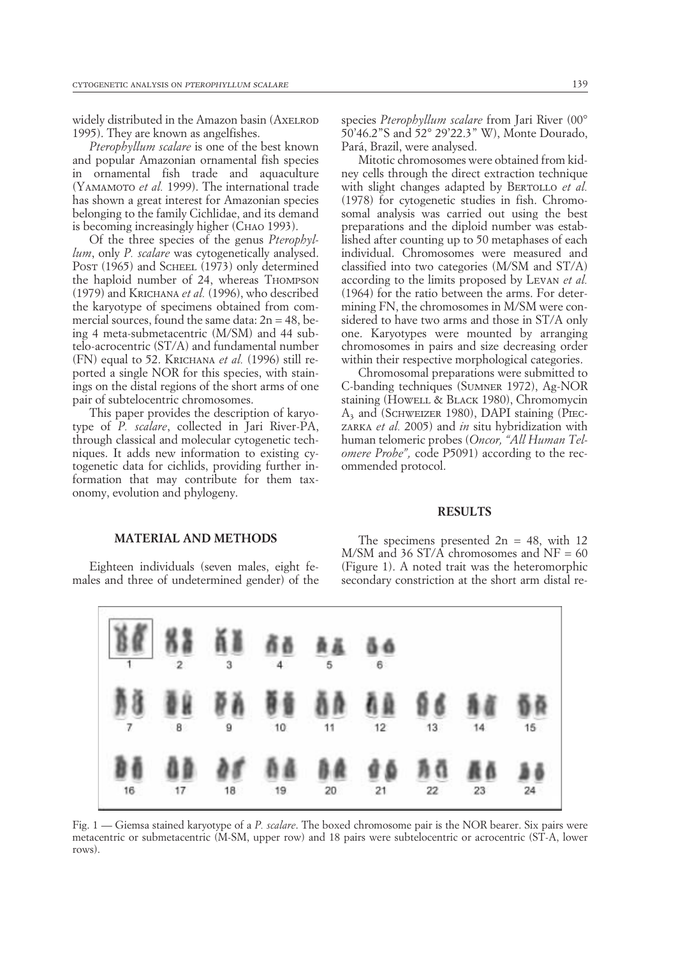widely distributed in the Amazon basin (AXELROD 1995). They are known as angelfishes.

*Pterophyllum scalare* is one of the best known and popular Amazonian ornamental fish species in ornamental fish trade and aquaculture (Yamamoto *et al.* 1999). The international trade has shown a great interest for Amazonian species belonging to the family Cichlidae, and its demand is becoming increasingly higher (Снло 1993).

Of the three species of the genus *Pterophyllum*, only *P. scalare* was cytogenetically analysed. Post (1965) and SCHEEL (1973) only determined the haploid number of 24, whereas Thompson (1979) and Krichana *et al.* (1996), who described the karyotype of specimens obtained from commercial sources, found the same data:  $2n = 48$ , being 4 meta-submetacentric (M/SM) and 44 subtelo-acrocentric (ST/A) and fundamental number (FN) equal to 52. Krichana *et al.* (1996) still reported a single NOR for this species, with stainings on the distal regions of the short arms of one pair of subtelocentric chromosomes.

This paper provides the description of karyotype of *P. scalare*, collected in Jari River-PA, through classical and molecular cytogenetic techniques. It adds new information to existing cytogenetic data for cichlids, providing further information that may contribute for them taxonomy, evolution and phylogeny.

species *Pterophyllum scalare* from Jari River (00° 50'46.2"S and 52° 29'22.3" W), Monte Dourado, Pará, Brazil, were analysed.

Mitotic chromosomes were obtained from kidney cells through the direct extraction technique with slight changes adapted by BERTOLLO *et al.* (1978) for cytogenetic studies in fish. Chromosomal analysis was carried out using the best preparations and the diploid number was established after counting up to 50 metaphases of each individual. Chromosomes were measured and classified into two categories (M/SM and ST/A) according to the limits proposed by Levan *et al.* (1964) for the ratio between the arms. For determining FN, the chromosomes in M/SM were considered to have two arms and those in ST/A only one. Karyotypes were mounted by arranging chromosomes in pairs and size decreasing order within their respective morphological categories.

Chromosomal preparations were submitted to C-banding techniques (Sumner 1972), Ag-NOR staining (Howell & BLACK 1980), Chromomycin A<sub>3</sub> and (SCHWEIZER 1980), DAPI staining (PIECzarka *et al.* 2005) and *in* situ hybridization with human telomeric probes (*Oncor, "All Human Telomere Probe",* code P5091) according to the recommended protocol.

#### **RESULTS**

#### **MATERIAL AND METHODS**

Eighteen individuals (seven males, eight females and three of undetermined gender) of the

The specimens presented  $2n = 48$ , with 12  $M/SM$  and 36 ST/A chromosomes and NF = 60 (Figure 1). A noted trait was the heteromorphic secondary constriction at the short arm distal re-



Fig. 1 — Giemsa stained karyotype of a *P. scalare*. The boxed chromosome pair is the NOR bearer. Six pairs were metacentric or submetacentric (M-SM, upper row) and 18 pairs were subtelocentric or acrocentric (ST-A, lower rows).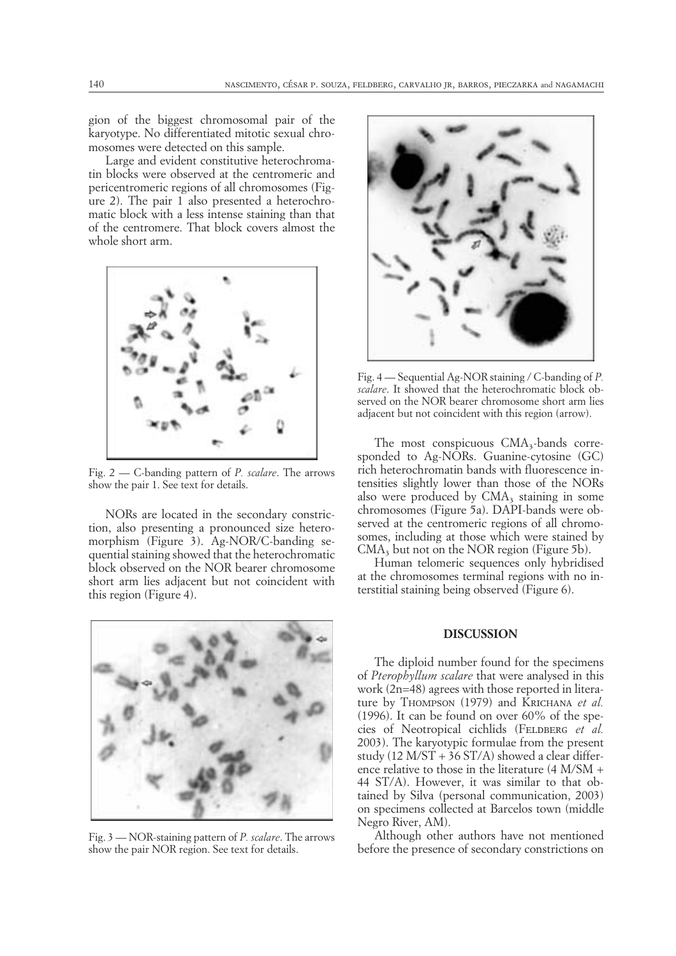gion of the biggest chromosomal pair of the karyotype. No differentiated mitotic sexual chromosomes were detected on this sample.

Large and evident constitutive heterochromatin blocks were observed at the centromeric and pericentromeric regions of all chromosomes (Figure 2). The pair 1 also presented a heterochromatic block with a less intense staining than that of the centromere. That block covers almost the whole short arm.



Fig. 2 — C-banding pattern of *P. scalare*. The arrows show the pair 1. See text for details.

NORs are located in the secondary constriction, also presenting a pronounced size heteromorphism (Figure 3). Ag-NOR/C-banding sequential staining showed that the heterochromatic block observed on the NOR bearer chromosome short arm lies adjacent but not coincident with this region (Figure 4).



Fig. 3 — NOR-staining pattern of *P. scalare*. The arrows show the pair NOR region. See text for details.



Fig. 4 — Sequential Ag-NOR staining / C-banding of *P. scalare*. It showed that the heterochromatic block observed on the NOR bearer chromosome short arm lies adjacent but not coincident with this region (arrow).

The most conspicuous  $CMA<sub>3</sub>$ -bands corresponded to Ag-NORs. Guanine-cytosine (GC) rich heterochromatin bands with fluorescence intensities slightly lower than those of the NORs also were produced by  $CMA<sub>3</sub>$  staining in some chromosomes (Figure 5a). DAPI-bands were observed at the centromeric regions of all chromosomes, including at those which were stained by  $CMA<sub>3</sub>$  but not on the NOR region (Figure 5b).

Human telomeric sequences only hybridised at the chromosomes terminal regions with no interstitial staining being observed (Figure 6).

## **DISCUSSION**

The diploid number found for the specimens of *Pterophyllum scalare* that were analysed in this work (2n=48) agrees with those reported in literature by Thompson (1979) and Krichana *et al.* (1996). It can be found on over 60% of the species of Neotropical cichlids (FELDBERG *et al.*) 2003). The karyotypic formulae from the present study (12 M/ST + 36 ST/A) showed a clear difference relative to those in the literature (4 M/SM + 44 ST/A). However, it was similar to that obtained by Silva (personal communication, 2003) on specimens collected at Barcelos town (middle Negro River, AM).

Although other authors have not mentioned before the presence of secondary constrictions on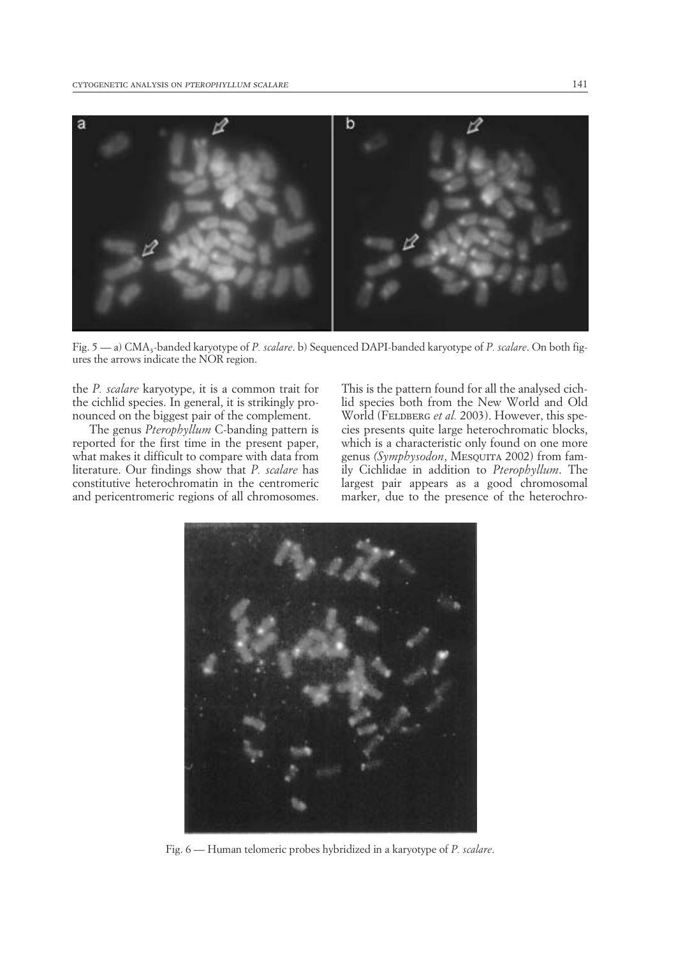

Fig. 5 — a) CMA<sub>3</sub>-banded karyotype of *P. scalare*. b) Sequenced DAPI-banded karyotype of *P. scalare*. On both figures the arrows indicate the NOR region.

the *P. scalare* karyotype, it is a common trait for the cichlid species. In general, it is strikingly pronounced on the biggest pair of the complement.

The genus *Pterophyllum* C-banding pattern is reported for the first time in the present paper, what makes it difficult to compare with data from literature. Our findings show that *P. scalare* has constitutive heterochromatin in the centromeric and pericentromeric regions of all chromosomes. This is the pattern found for all the analysed cichlid species both from the New World and Old World (FELDBERG *et al.* 2003). However, this species presents quite large heterochromatic blocks, which is a characteristic only found on one more genus *(Symphysodon*, Mesquita 2002) from family Cichlidae in addition to *Pterophyllum*. The largest pair appears as a good chromosomal marker, due to the presence of the heterochro-



Fig. 6 — Human telomeric probes hybridized in a karyotype of *P. scalare*.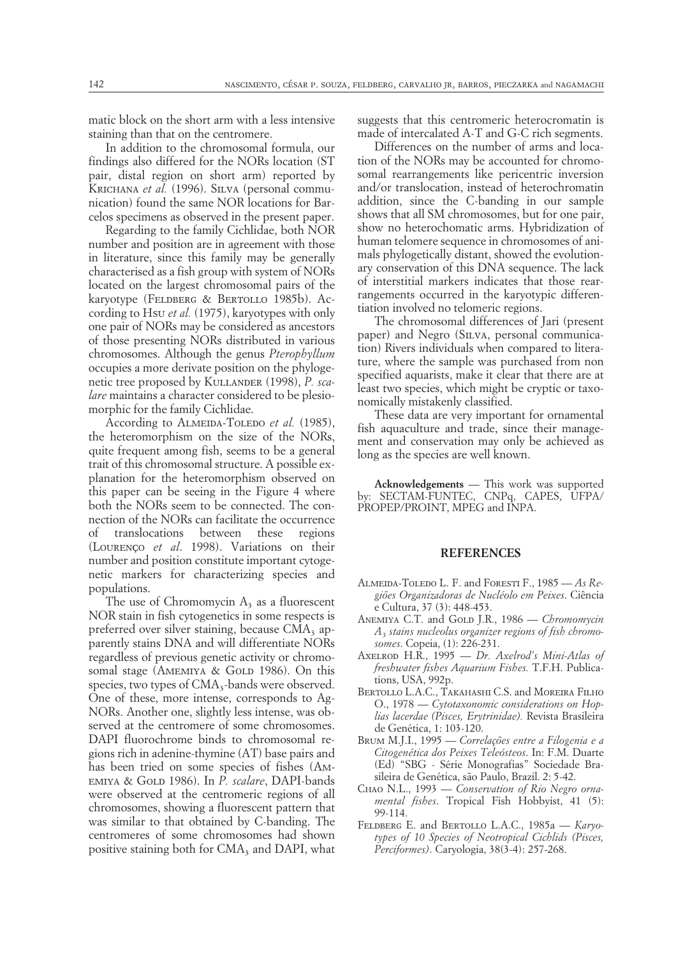matic block on the short arm with a less intensive staining than that on the centromere.

In addition to the chromosomal formula, our findings also differed for the NORs location (ST pair, distal region on short arm) reported by KRICHANA et al. (1996). SILVA (personal communication) found the same NOR locations for Barcelos specimens as observed in the present paper.

Regarding to the family Cichlidae, both NOR number and position are in agreement with those in literature, since this family may be generally characterised as a fish group with system of NORs located on the largest chromosomal pairs of the karyotype (Feldberg & Bertollo 1985b). According to Hsu *et al.* (1975), karyotypes with only one pair of NORs may be considered as ancestors of those presenting NORs distributed in various chromosomes. Although the genus *Pterophyllum* occupies a more derivate position on the phylogenetic tree proposed by KULLANDER (1998), *P. scalare* maintains a character considered to be plesiomorphic for the family Cichlidae.

According to ALMEIDA-TOLEDO *et al.* (1985), the heteromorphism on the size of the NORs, quite frequent among fish, seems to be a general trait of this chromosomal structure. A possible explanation for the heteromorphism observed on this paper can be seeing in the Figure 4 where both the NORs seem to be connected. The connection of the NORs can facilitate the occurrence of translocations between these regions (LOURENÇO et al. 1998). Variations on their number and position constitute important cytogenetic markers for characterizing species and populations.

The use of Chromomycin  $A_3$  as a fluorescent NOR stain in fish cytogenetics in some respects is preferred over silver staining, because CMA<sub>3</sub> apparently stains DNA and will differentiate NORs regardless of previous genetic activity or chromosomal stage (AMEMIYA & GOLD 1986). On this species, two types of  $CMA<sub>3</sub>$ -bands were observed. One of these, more intense, corresponds to Ag-NORs. Another one, slightly less intense, was observed at the centromere of some chromosomes. DAPI fluorochrome binds to chromosomal regions rich in adenine-thymine (AT) base pairs and has been tried on some species of fishes (AMemiya & Gold 1986). In *P. scalare*, DAPI-bands were observed at the centromeric regions of all chromosomes, showing a fluorescent pattern that was similar to that obtained by C-banding. The centromeres of some chromosomes had shown positive staining both for CMA<sub>3</sub> and DAPI, what

suggests that this centromeric heterocromatin is made of intercalated A-T and G-C rich segments.

Differences on the number of arms and location of the NORs may be accounted for chromosomal rearrangements like pericentric inversion and/or translocation, instead of heterochromatin addition, since the C-banding in our sample shows that all SM chromosomes, but for one pair, show no heterochomatic arms. Hybridization of human telomere sequence in chromosomes of animals phylogetically distant, showed the evolutionary conservation of this DNA sequence. The lack of interstitial markers indicates that those rearrangements occurred in the karyotypic differentiation involved no telomeric regions.

The chromosomal differences of Jari (present paper) and Negro (SILVA, personal communication) Rivers individuals when compared to literature, where the sample was purchased from non specified aquarists, make it clear that there are at least two species, which might be cryptic or taxonomically mistakenly classified.

These data are very important for ornamental fish aquaculture and trade, since their management and conservation may only be achieved as long as the species are well known.

**Acknowledgements** — This work was supported by: SECTAM-FUNTEC, CNPq, CAPES, UFPA/ PROPEP/PROINT, MPEG and INPA.

## **REFERENCES**

- Almeida-Toledo L. F. and Foresti F., 1985 *As Regio˜es Organizadoras de Nucle´olo em Peixes*. Cieˆncia e Cultura, 37 (3): 448-453.
- Anemiya C.T. and Gold J.R., 1986 *Chromomycin A3 stains nucleolus organizer regions of fish chromosomes*. Copeia, (1): 226-231.
- Axelrod H.R., 1995 *Dr. Axelrod's Mini-Atlas of freshwater fishes Aquarium Fishes.* T.F.H. Publications, USA, 992p.
- BERTOLLO L.A.C., TAKAHASHI C.S. and MOREIRA FILHO O., 1978 — *Cytotaxonomic considerations on Hoplias lacerdae (Pisces, Erytrinidae).* Revista Brasileira de Genética, 1: 103-120.
- BRUM M.J.I., 1995 Correlações entre a Filogenia e a *Citogene´tica dos Peixes Teleo´steos*. In: F.M. Duarte (Ed) "SBG - Série Monografias" Sociedade Brasileira de Genética, são Paulo, Brazil. 2: 5-42.
- Chao N.L., 1993 *Conservation of Rio Negro ornamental fishes*. Tropical Fish Hobbyist, 41 (5): 99-114.
- Feldberg E. and Bertollo L.A.C., 1985a *Karyotypes of 10 Species of Neotropical Cichlids (Pisces, Perciformes)*. Caryologia, 38(3-4): 257-268.